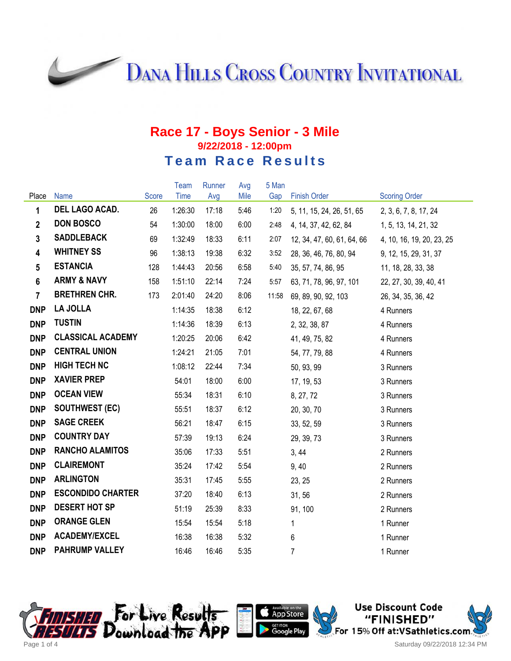**DANA HILLS CROSS COUNTRY INVITATIONAL** 

## **Race 17 - Boys Senior - 3 Mile 9/22/2018 - 12:00pm Team Race Results**

|                 |                          |       | Team    | Runner | Avg  | 5 Man |                            |                           |
|-----------------|--------------------------|-------|---------|--------|------|-------|----------------------------|---------------------------|
| Place           | <b>Name</b>              | Score | Time    | Avg    | Mile | Gap   | <b>Finish Order</b>        | <b>Scoring Order</b>      |
| $\mathbf{1}$    | DEL LAGO ACAD.           | 26    | 1:26:30 | 17:18  | 5:46 | 1:20  | 5, 11, 15, 24, 26, 51, 65  | 2, 3, 6, 7, 8, 17, 24     |
| $\overline{2}$  | <b>DON BOSCO</b>         | 54    | 1:30:00 | 18:00  | 6:00 | 2:48  | 4, 14, 37, 42, 62, 84      | 1, 5, 13, 14, 21, 32      |
| $3\phantom{a}$  | <b>SADDLEBACK</b>        | 69    | 1:32:49 | 18:33  | 6:11 | 2:07  | 12, 34, 47, 60, 61, 64, 66 | 4, 10, 16, 19, 20, 23, 25 |
| $\overline{4}$  | <b>WHITNEY SS</b>        | 96    | 1:38:13 | 19:38  | 6:32 | 3:52  | 28, 36, 46, 76, 80, 94     | 9, 12, 15, 29, 31, 37     |
| $5\overline{)}$ | <b>ESTANCIA</b>          | 128   | 1:44:43 | 20:56  | 6:58 | 5:40  | 35, 57, 74, 86, 95         | 11, 18, 28, 33, 38        |
| $6\phantom{a}$  | <b>ARMY &amp; NAVY</b>   | 158   | 1:51:10 | 22:14  | 7:24 | 5:57  | 63, 71, 78, 96, 97, 101    | 22, 27, 30, 39, 40, 41    |
| $\overline{7}$  | <b>BRETHREN CHR.</b>     | 173   | 2:01:40 | 24:20  | 8:06 | 11:58 | 69, 89, 90, 92, 103        | 26, 34, 35, 36, 42        |
| <b>DNP</b>      | LA JOLLA                 |       | 1:14:35 | 18:38  | 6:12 |       | 18, 22, 67, 68             | 4 Runners                 |
| <b>DNP</b>      | <b>TUSTIN</b>            |       | 1:14:36 | 18:39  | 6:13 |       | 2, 32, 38, 87              | 4 Runners                 |
| <b>DNP</b>      | <b>CLASSICAL ACADEMY</b> |       | 1:20:25 | 20:06  | 6:42 |       | 41, 49, 75, 82             | 4 Runners                 |
| <b>DNP</b>      | <b>CENTRAL UNION</b>     |       | 1:24:21 | 21:05  | 7:01 |       | 54, 77, 79, 88             | 4 Runners                 |
| <b>DNP</b>      | <b>HIGH TECH NC</b>      |       | 1:08:12 | 22:44  | 7:34 |       | 50, 93, 99                 | 3 Runners                 |
| <b>DNP</b>      | <b>XAVIER PREP</b>       |       | 54:01   | 18:00  | 6:00 |       | 17, 19, 53                 | 3 Runners                 |
| <b>DNP</b>      | <b>OCEAN VIEW</b>        |       | 55:34   | 18:31  | 6:10 |       | 8, 27, 72                  | 3 Runners                 |
| <b>DNP</b>      | <b>SOUTHWEST (EC)</b>    |       | 55:51   | 18:37  | 6:12 |       | 20, 30, 70                 | 3 Runners                 |
| <b>DNP</b>      | <b>SAGE CREEK</b>        |       | 56:21   | 18:47  | 6:15 |       | 33, 52, 59                 | 3 Runners                 |
| <b>DNP</b>      | <b>COUNTRY DAY</b>       |       | 57:39   | 19:13  | 6:24 |       | 29, 39, 73                 | 3 Runners                 |
| <b>DNP</b>      | <b>RANCHO ALAMITOS</b>   |       | 35:06   | 17:33  | 5:51 |       | 3, 44                      | 2 Runners                 |
| <b>DNP</b>      | <b>CLAIREMONT</b>        |       | 35:24   | 17:42  | 5:54 |       | 9,40                       | 2 Runners                 |
| <b>DNP</b>      | <b>ARLINGTON</b>         |       | 35:31   | 17:45  | 5:55 |       | 23, 25                     | 2 Runners                 |
| <b>DNP</b>      | <b>ESCONDIDO CHARTER</b> |       | 37:20   | 18:40  | 6:13 |       | 31, 56                     | 2 Runners                 |
| <b>DNP</b>      | <b>DESERT HOT SP</b>     |       | 51:19   | 25:39  | 8:33 |       | 91, 100                    | 2 Runners                 |
| <b>DNP</b>      | <b>ORANGE GLEN</b>       |       | 15:54   | 15:54  | 5:18 |       | $\mathbf{1}$               | 1 Runner                  |
| <b>DNP</b>      | <b>ACADEMY/EXCEL</b>     |       | 16:38   | 16:38  | 5:32 |       | 6                          | 1 Runner                  |
| <b>DNP</b>      | <b>PAHRUMP VALLEY</b>    |       | 16:46   | 16:46  | 5:35 |       | 7                          | 1 Runner                  |





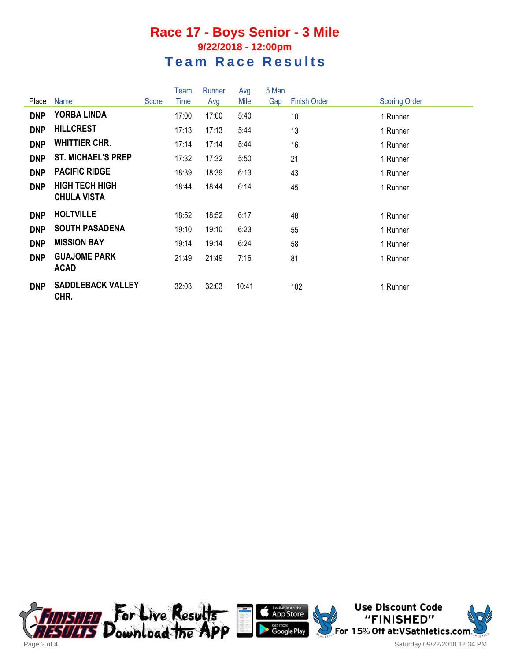## **Race 17 - Boys Senior - 3 Mile 9/22/2018 - 12:00pm Team Race Results**

| Place      | Name                                        | Score | Team<br>Time | Runner<br>Avg | Avg<br>Mile | 5 Man<br>Gap | <b>Finish Order</b> | <b>Scoring Order</b> |
|------------|---------------------------------------------|-------|--------------|---------------|-------------|--------------|---------------------|----------------------|
| <b>DNP</b> | <b>YORBA LINDA</b>                          |       | 17:00        | 17:00         | 5:40        |              | 10                  | 1 Runner             |
| <b>DNP</b> | <b>HILLCREST</b>                            |       | 17:13        | 17:13         | 5:44        |              | 13                  | 1 Runner             |
| <b>DNP</b> | <b>WHITTIER CHR.</b>                        |       | 17:14        | 17:14         | 5:44        |              | 16                  | 1 Runner             |
| <b>DNP</b> | <b>ST. MICHAEL'S PREP</b>                   |       | 17:32        | 17:32         | 5:50        |              | 21                  | 1 Runner             |
| <b>DNP</b> | <b>PACIFIC RIDGE</b>                        |       | 18:39        | 18:39         | 6:13        |              | 43                  | 1 Runner             |
| <b>DNP</b> | <b>HIGH TECH HIGH</b><br><b>CHULA VISTA</b> |       | 18:44        | 18:44         | 6:14        |              | 45                  | 1 Runner             |
| <b>DNP</b> | <b>HOLTVILLE</b>                            |       | 18:52        | 18:52         | 6:17        |              | 48                  | 1 Runner             |
| <b>DNP</b> | <b>SOUTH PASADENA</b>                       |       | 19:10        | 19:10         | 6:23        |              | 55                  | 1 Runner             |
| <b>DNP</b> | <b>MISSION BAY</b>                          |       | 19:14        | 19:14         | 6:24        |              | 58                  | 1 Runner             |
| <b>DNP</b> | <b>GUAJOME PARK</b><br><b>ACAD</b>          |       | 21:49        | 21:49         | 7:16        |              | 81                  | 1 Runner             |
| <b>DNP</b> | <b>SADDLEBACK VALLEY</b><br>CHR.            |       | 32:03        | 32:03         | 10:41       |              | 102                 | 1 Runner             |





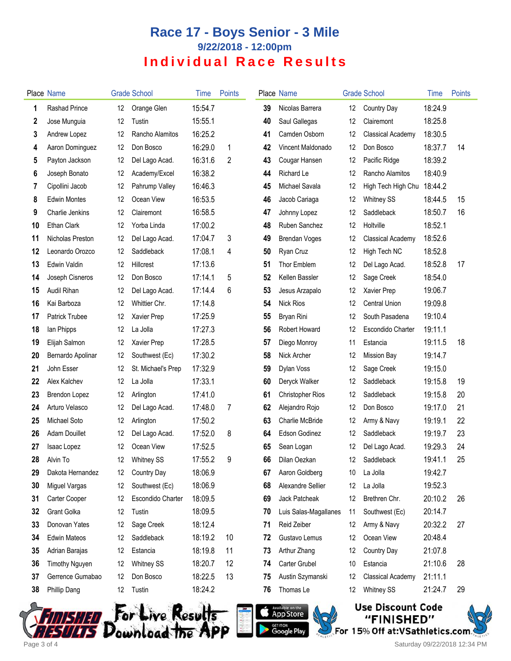## **Race 17 - Boys Senior - 3 Mile 9/22/2018 - 12:00pm Individual Race Results**

|    | Place Name            |    | <b>Grade School</b> | Time    | <b>Points</b> |    | Place Name              |                 | <b>Grade School</b>      | Time    | <b>Points</b> |
|----|-----------------------|----|---------------------|---------|---------------|----|-------------------------|-----------------|--------------------------|---------|---------------|
| 1  | <b>Rashad Prince</b>  | 12 | Orange Glen         | 15:54.7 |               | 39 | Nicolas Barrera         | 12              | Country Day              | 18:24.9 |               |
| 2  | Jose Munguia          | 12 | Tustin              | 15:55.1 |               | 40 | Saul Gallegas           | 12              | Clairemont               | 18:25.8 |               |
| 3  | Andrew Lopez          | 12 | Rancho Alamitos     | 16:25.2 |               | 41 | Camden Osborn           | 12              | <b>Classical Academy</b> | 18:30.5 |               |
| 4  | Aaron Dominguez       | 12 | Don Bosco           | 16:29.0 | 1             | 42 | Vincent Maldonado       | 12              | Don Bosco                | 18:37.7 | 14            |
| 5  | Payton Jackson        | 12 | Del Lago Acad.      | 16:31.6 | 2             | 43 | Cougar Hansen           | 12              | Pacific Ridge            | 18:39.2 |               |
| 6  | Joseph Bonato         | 12 | Academy/Excel       | 16:38.2 |               | 44 | Richard Le              | 12              | Rancho Alamitos          | 18:40.9 |               |
| 7  | Cipollini Jacob       | 12 | Pahrump Valley      | 16:46.3 |               | 45 | Michael Savala          | 12              | High Tech High Chu       | 18:44.2 |               |
| 8  | <b>Edwin Montes</b>   | 12 | Ocean View          | 16:53.5 |               | 46 | Jacob Cariaga           | 12              | <b>Whitney SS</b>        | 18:44.5 | 15            |
| 9  | Charlie Jenkins       | 12 | Clairemont          | 16:58.5 |               | 47 | Johnny Lopez            | 12              | Saddleback               | 18:50.7 | 16            |
| 10 | Ethan Clark           | 12 | Yorba Linda         | 17:00.2 |               | 48 | Ruben Sanchez           | 12              | Holtville                | 18:52.1 |               |
| 11 | Nicholas Preston      | 12 | Del Lago Acad.      | 17:04.7 | 3             | 49 | <b>Brendan Voges</b>    | 12              | <b>Classical Academy</b> | 18:52.6 |               |
| 12 | Leonardo Orozco       | 12 | Saddleback          | 17:08.1 | 4             | 50 | Ryan Cruz               | 12              | High Tech NC             | 18:52.8 |               |
| 13 | Edwin Valdin          | 12 | Hillcrest           | 17:13.6 |               | 51 | Thor Emblem             | 12              | Del Lago Acad.           | 18:52.8 | 17            |
| 14 | Joseph Cisneros       | 12 | Don Bosco           | 17:14.1 | 5             | 52 | Kellen Bassler          | 12              | Sage Creek               | 18:54.0 |               |
| 15 | Audil Rihan           | 12 | Del Lago Acad.      | 17:14.4 | 6             | 53 | Jesus Arzapalo          | 12              | Xavier Prep              | 19:06.7 |               |
| 16 | Kai Barboza           | 12 | Whittier Chr.       | 17:14.8 |               | 54 | <b>Nick Rios</b>        | 12              | <b>Central Union</b>     | 19:09.8 |               |
| 17 | <b>Patrick Trubee</b> | 12 | Xavier Prep         | 17:25.9 |               | 55 | Bryan Rini              | 12              | South Pasadena           | 19:10.4 |               |
| 18 | lan Phipps            | 12 | La Jolla            | 17:27.3 |               | 56 | Robert Howard           | 12              | Escondido Charter        | 19:11.1 |               |
| 19 | Elijah Salmon         | 12 | <b>Xavier Prep</b>  | 17:28.5 |               | 57 | Diego Monroy            | 11              | Estancia                 | 19:11.5 | 18            |
| 20 | Bernardo Apolinar     | 12 | Southwest (Ec)      | 17:30.2 |               | 58 | Nick Archer             | 12              | <b>Mission Bay</b>       | 19:14.7 |               |
| 21 | John Esser            | 12 | St. Michael's Prep  | 17:32.9 |               | 59 | Dylan Voss              | 12              | Sage Creek               | 19:15.0 |               |
| 22 | Alex Kalchev          | 12 | La Jolla            | 17:33.1 |               | 60 | Deryck Walker           | 12              | Saddleback               | 19:15.8 | 19            |
| 23 | <b>Brendon Lopez</b>  | 12 | Arlington           | 17:41.0 |               | 61 | <b>Christopher Rios</b> | 12              | Saddleback               | 19:15.8 | 20            |
| 24 | Arturo Velasco        | 12 | Del Lago Acad.      | 17:48.0 | 7             | 62 | Alejandro Rojo          | 12              | Don Bosco                | 19:17.0 | 21            |
| 25 | Michael Soto          | 12 | Arlington           | 17:50.2 |               | 63 | Charlie McBride         | 12              | Army & Navy              | 19:19.1 | 22            |
| 26 | <b>Adam Douillet</b>  | 12 | Del Lago Acad.      | 17:52.0 | 8             | 64 | Edson Godinez           | 12              | Saddleback               | 19:19.7 | 23            |
| 27 | Isaac Lopez           | 12 | Ocean View          | 17:52.5 |               | 65 | Sean Logan              | 12              | Del Lago Acad.           | 19:29.3 | 24            |
| 28 | Alvin To              | 12 | <b>Whitney SS</b>   | 17:55.2 | 9             | 66 | Dilan Oezkan            | 12 <sup>°</sup> | Saddleback               | 19:41.1 | 25            |
| 29 | Dakota Hernandez      | 12 | Country Day         | 18:06.9 |               | 67 | Aaron Goldberg          | 10              | La Jolla                 | 19:42.7 |               |
| 30 | Miguel Vargas         | 12 | Southwest (Ec)      | 18:06.9 |               | 68 | Alexandre Sellier       | 12              | La Jolla                 | 19:52.3 |               |
| 31 | Carter Cooper         | 12 | Escondido Charter   | 18:09.5 |               | 69 | Jack Patcheak           | 12              | Brethren Chr.            | 20:10.2 | 26            |
| 32 | Grant Golka           | 12 | Tustin              | 18:09.5 |               | 70 | Luis Salas-Magallanes   | 11              | Southwest (Ec)           | 20:14.7 |               |
| 33 | Donovan Yates         | 12 | Sage Creek          | 18:12.4 |               | 71 | Reid Zeiber             | 12              | Army & Navy              | 20:32.2 | 27            |
| 34 | <b>Edwin Mateos</b>   | 12 | Saddleback          | 18:19.2 | 10            | 72 | Gustavo Lemus           | 12              | Ocean View               | 20:48.4 |               |
| 35 | Adrian Barajas        | 12 | Estancia            | 18:19.8 | 11            | 73 | Arthur Zhang            | 12              | Country Day              | 21:07.8 |               |
| 36 | <b>Timothy Nguyen</b> | 12 | <b>Whitney SS</b>   | 18:20.7 | 12            | 74 | Carter Grubel           | 10              | Estancia                 | 21:10.6 | 28            |
| 37 | Gerrence Gumabao      | 12 | Don Bosco           | 18:22.5 | 13            | 75 | Austin Szymanski        | 12              | <b>Classical Academy</b> | 21:11.1 |               |
| 38 | Phillip Dang          | 12 | Tustin              | 18:24.2 |               | 76 | Thomas Le               | 12              | <b>Whitney SS</b>        | 21:24.7 | 29            |